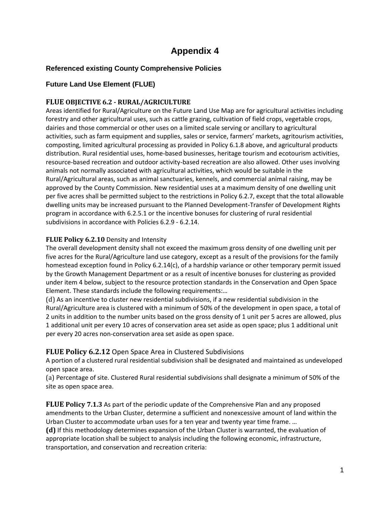# **Appendix 4**

# **Referenced existing County Comprehensive Policies**

# **Future Land Use Element (FLUE)**

## **FLUE OBJECTIVE 6.2 - RURAL/AGRICULTURE**

Areas identified for Rural/Agriculture on the Future Land Use Map are for agricultural activities including forestry and other agricultural uses, such as cattle grazing, cultivation of field crops, vegetable crops, dairies and those commercial or other uses on a limited scale serving or ancillary to agricultural activities, such as farm equipment and supplies, sales or service, farmers' markets, agritourism activities, composting, limited agricultural processing as provided in Policy 6.1.8 above, and agricultural products distribution. Rural residential uses, home-based businesses, heritage tourism and ecotourism activities, resource-based recreation and outdoor activity-based recreation are also allowed. Other uses involving animals not normally associated with agricultural activities, which would be suitable in the Rural/Agricultural areas, such as animal sanctuaries, kennels, and commercial animal raising, may be approved by the County Commission. New residential uses at a maximum density of one dwelling unit per five acres shall be permitted subject to the restrictions in Policy 6.2.7, except that the total allowable dwelling units may be increased pursuant to the Planned Development-Transfer of Development Rights program in accordance with 6.2.5.1 or the incentive bonuses for clustering of rural residential subdivisions in accordance with Policies 6.2.9 - 6.2.14.

## **FLUE Policy 6.2.10** Density and Intensity

The overall development density shall not exceed the maximum gross density of one dwelling unit per five acres for the Rural/Agriculture land use category, except as a result of the provisions for the family homestead exception found in Policy 6.2.14(c), of a hardship variance or other temporary permit issued by the Growth Management Department or as a result of incentive bonuses for clustering as provided under item 4 below, subject to the resource protection standards in the Conservation and Open Space Element. These standards include the following requirements:…

(d) As an incentive to cluster new residential subdivisions, if a new residential subdivision in the Rural/Agriculture area is clustered with a minimum of 50% of the development in open space, a total of 2 units in addition to the number units based on the gross density of 1 unit per 5 acres are allowed, plus 1 additional unit per every 10 acres of conservation area set aside as open space; plus 1 additional unit per every 20 acres non-conservation area set aside as open space.

## **FLUE Policy 6.2.12** Open Space Area in Clustered Subdivisions

A portion of a clustered rural residential subdivision shall be designated and maintained as undeveloped open space area.

(a) Percentage of site. Clustered Rural residential subdivisions shall designate a minimum of 50% of the site as open space area.

**FLUE Policy 7.1.3** As part of the periodic update of the Comprehensive Plan and any proposed amendments to the Urban Cluster, determine a sufficient and nonexcessive amount of land within the Urban Cluster to accommodate urban uses for a ten year and twenty year time frame. …

**(d)** If this methodology determines expansion of the Urban Cluster is warranted, the evaluation of appropriate location shall be subject to analysis including the following economic, infrastructure, transportation, and conservation and recreation criteria: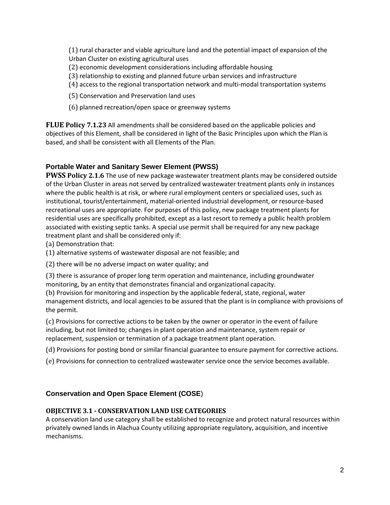(1) rural character and viable agriculture land and the potential impact of expansion of the Urban Cluster on existing agricultural uses

- (2) economic development considerations including affordable housing
- (3) relationship to existing and planned future urban services and infrastructure
- (4) access to the regional transportation network and multi-modal transportation systems
- (5) Conservation and Preservation land uses
- (6) planned recreation/open space or greenway systems

**FLUE Policy 7.1.23** All amendments shall be considered based on the applicable policies and objectives of this Element, shall be considered in light of the Basic Principles upon which the Plan is based, and shall be consistent with all Elements of the Plan.

## **Portable Water and Sanitary Sewer Element (PWSS)**

**PWSS Policy 2.1.6** The use of new package wastewater treatment plants may be considered outside of the Urban Cluster in areas not served by centralized wastewater treatment plants only in instances where the public health is at risk, or where rural employment centers or specialized uses, such as institutional, tourist/entertainment, material-oriented industrial development, or resource-based recreational uses are appropriate. For purposes of this policy, new package treatment plants for residential uses are specifically prohibited, except as a last resort to remedy a public health problem associated with existing septic tanks. A special use permit shall be required for any new package treatment plant and shall be considered only if:

- (a) Demonstration that:
- (1) alternative systems of wastewater disposal are not feasible; and
- (2) there will be no adverse impact on water quality; and

(3) there is assurance of proper long term operation and maintenance, including groundwater monitoring, by an entity that demonstrates financial and organizational capacity.

(b) Provision for monitoring and inspection by the applicable federal, state, regional, water management districts, and local agencies to be assured that the plant is in compliance with provisions of the permit.

(c) Provisions for corrective actions to be taken by the owner or operator in the event of failure including, but not limited to; changes in plant operation and maintenance, system repair or replacement, suspension or termination of a package treatment plant operation.

(d) Provisions for posting bond or similar financial guarantee to ensure payment for corrective actions.

(e) Provisions for connection to centralized wastewater service once the service becomes available.

#### **Conservation and Open Space Element (COSE**)

#### **OBJECTIVE 3.1 - CONSERVATION LAND USE CATEGORIES**

A conservation land use category shall be established to recognize and protect natural resources within privately owned lands in Alachua County utilizing appropriate regulatory, acquisition, and incentive mechanisms.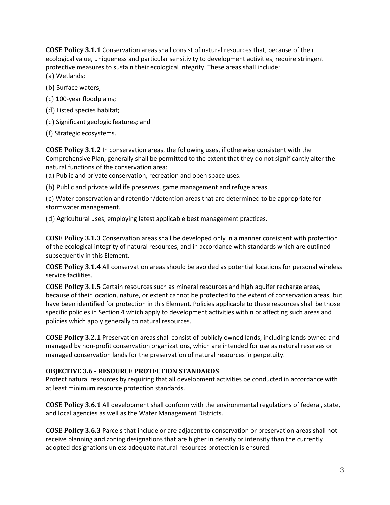**COSE Policy 3.1.1** Conservation areas shall consist of natural resources that, because of their ecological value, uniqueness and particular sensitivity to development activities, require stringent protective measures to sustain their ecological integrity. These areas shall include: (a) Wetlands;

- (b) Surface waters;
- (c) 100-year floodplains;
- (d) Listed species habitat;
- (e) Significant geologic features; and
- (f) Strategic ecosystems.

**COSE Policy 3.1.2** In conservation areas, the following uses, if otherwise consistent with the Comprehensive Plan, generally shall be permitted to the extent that they do not significantly alter the natural functions of the conservation area:

(a) Public and private conservation, recreation and open space uses.

(b) Public and private wildlife preserves, game management and refuge areas.

(c) Water conservation and retention/detention areas that are determined to be appropriate for stormwater management.

(d) Agricultural uses, employing latest applicable best management practices.

**COSE Policy 3.1.3** Conservation areas shall be developed only in a manner consistent with protection of the ecological integrity of natural resources, and in accordance with standards which are outlined subsequently in this Element.

**COSE Policy 3.1.4** All conservation areas should be avoided as potential locations for personal wireless service facilities.

**COSE Policy 3.1.5** Certain resources such as mineral resources and high aquifer recharge areas, because of their location, nature, or extent cannot be protected to the extent of conservation areas, but have been identified for protection in this Element. Policies applicable to these resources shall be those specific policies in Section 4 which apply to development activities within or affecting such areas and policies which apply generally to natural resources.

**COSE Policy 3.2.1** Preservation areas shall consist of publicly owned lands, including lands owned and managed by non-profit conservation organizations, which are intended for use as natural reserves or managed conservation lands for the preservation of natural resources in perpetuity.

#### **OBJECTIVE 3.6 - RESOURCE PROTECTION STANDARDS**

Protect natural resources by requiring that all development activities be conducted in accordance with at least minimum resource protection standards.

**COSE Policy 3.6.1** All development shall conform with the environmental regulations of federal, state, and local agencies as well as the Water Management Districts.

**COSE Policy 3.6.3** Parcels that include or are adjacent to conservation or preservation areas shall not receive planning and zoning designations that are higher in density or intensity than the currently adopted designations unless adequate natural resources protection is ensured.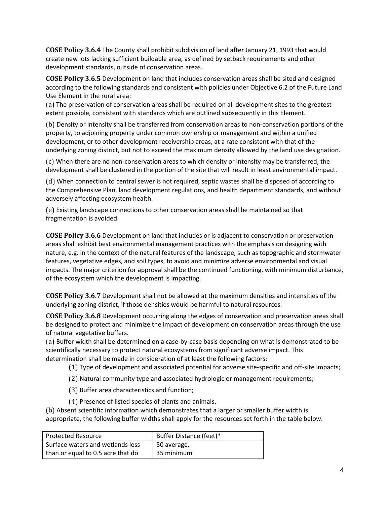**COSE Policy 3.6.4** The County shall prohibit subdivision of land after January 21, 1993 that would create new lots lacking sufficient buildable area, as defined by setback requirements and other development standards, outside of conservation areas.

**COSE Policy 3.6.5** Development on land that includes conservation areas shall be sited and designed according to the following standards and consistent with policies under Objective 6.2 of the Future Land Use Element in the rural area:

(a) The preservation of conservation areas shall be required on all development sites to the greatest extent possible, consistent with standards which are outlined subsequently in this Element.

(b) Density or intensity shall be transferred from conservation areas to non-conservation portions of the property, to adjoining property under common ownership or management and within a unified development, or to other development receivership areas, at a rate consistent with that of the underlying zoning district, but not to exceed the maximum density allowed by the land use designation.

(c) When there are no non-conservation areas to which density or intensity may be transferred, the development shall be clustered in the portion of the site that will result in least environmental impact.

(d) When connection to central sewer is not required, septic wastes shall be disposed of according to the Comprehensive Plan, land development regulations, and health department standards, and without adversely affecting ecosystem health.

(e) Existing landscape connections to other conservation areas shall be maintained so that fragmentation is avoided.

**COSE Policy 3.6.6** Development on land that includes or is adjacent to conservation or preservation areas shall exhibit best environmental management practices with the emphasis on designing with nature, e.g. in the context of the natural features of the landscape, such as topographic and stormwater features, vegetative edges, and soil types, to avoid and minimize adverse environmental and visual impacts. The major criterion for approval shall be the continued functioning, with minimum disturbance, of the ecosystem which the development is impacting.

**COSE Policy 3.6.7** Development shall not be allowed at the maximum densities and intensities of the underlying zoning district, if those densities would be harmful to natural resources.

**COSE Policy 3.6.8** Development occurring along the edges of conservation and preservation areas shall be designed to protect and minimize the impact of development on conservation areas through the use of natural vegetative buffers.

(a) Buffer width shall be determined on a case-by-case basis depending on what is demonstrated to be scientifically necessary to protect natural ecosystems from significant adverse impact. This determination shall be made in consideration of at least the following factors:

(1) Type of development and associated potential for adverse site-specific and off-site impacts;

(2) Natural community type and associated hydrologic or management requirements;

(3) Buffer area characteristics and function;

(4) Presence of listed species of plants and animals.

(b) Absent scientific information which demonstrates that a larger or smaller buffer width is appropriate, the following buffer widths shall apply for the resources set forth in the table below.

| Protected Resource                | Buffer Distance (feet)* |
|-----------------------------------|-------------------------|
| Surface waters and wetlands less  | 50 average,             |
| than or equal to 0.5 acre that do | 35 minimum              |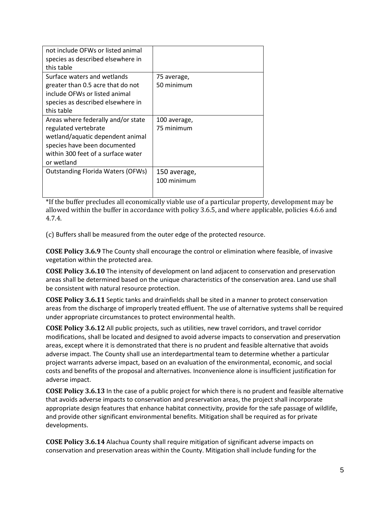| not include OFWs or listed animal        |              |
|------------------------------------------|--------------|
| species as described elsewhere in        |              |
| this table                               |              |
| Surface waters and wetlands              | 75 average,  |
| greater than 0.5 acre that do not        | 50 minimum   |
| include OFWs or listed animal            |              |
| species as described elsewhere in        |              |
| this table                               |              |
| Areas where federally and/or state       | 100 average, |
| regulated vertebrate                     | 75 minimum   |
| wetland/aquatic dependent animal         |              |
| species have been documented             |              |
| within 300 feet of a surface water       |              |
| or wetland                               |              |
| <b>Outstanding Florida Waters (OFWs)</b> | 150 average, |
|                                          | 100 minimum  |
|                                          |              |
|                                          |              |

\*If the buffer precludes all economically viable use of a particular property, development may be allowed within the buffer in accordance with policy 3.6.5, and where applicable, policies 4.6.6 and 4.7.4.

(c) Buffers shall be measured from the outer edge of the protected resource.

**COSE Policy 3.6.9** The County shall encourage the control or elimination where feasible, of invasive vegetation within the protected area.

**COSE Policy 3.6.10** The intensity of development on land adjacent to conservation and preservation areas shall be determined based on the unique characteristics of the conservation area. Land use shall be consistent with natural resource protection.

**COSE Policy 3.6.11** Septic tanks and drainfields shall be sited in a manner to protect conservation areas from the discharge of improperly treated effluent. The use of alternative systems shall be required under appropriate circumstances to protect environmental health.

**COSE Policy 3.6.12** All public projects, such as utilities, new travel corridors, and travel corridor modifications, shall be located and designed to avoid adverse impacts to conservation and preservation areas, except where it is demonstrated that there is no prudent and feasible alternative that avoids adverse impact. The County shall use an interdepartmental team to determine whether a particular project warrants adverse impact, based on an evaluation of the environmental, economic, and social costs and benefits of the proposal and alternatives. Inconvenience alone is insufficient justification for adverse impact.

**COSE Policy 3.6.13** In the case of a public project for which there is no prudent and feasible alternative that avoids adverse impacts to conservation and preservation areas, the project shall incorporate appropriate design features that enhance habitat connectivity, provide for the safe passage of wildlife, and provide other significant environmental benefits. Mitigation shall be required as for private developments.

**COSE Policy 3.6.14** Alachua County shall require mitigation of significant adverse impacts on conservation and preservation areas within the County. Mitigation shall include funding for the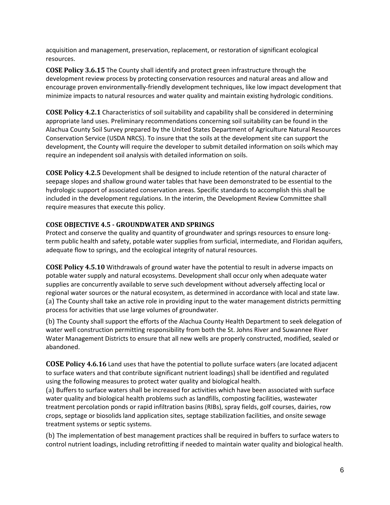acquisition and management, preservation, replacement, or restoration of significant ecological resources.

**COSE Policy 3.6.15** The County shall identify and protect green infrastructure through the development review process by protecting conservation resources and natural areas and allow and encourage proven environmentally-friendly development techniques, like low impact development that minimize impacts to natural resources and water quality and maintain existing hydrologic conditions.

**COSE Policy 4.2.1** Characteristics of soil suitability and capability shall be considered in determining appropriate land uses. Preliminary recommendations concerning soil suitability can be found in the Alachua County Soil Survey prepared by the United States Department of Agriculture Natural Resources Conservation Service (USDA NRCS). To insure that the soils at the development site can support the development, the County will require the developer to submit detailed information on soils which may require an independent soil analysis with detailed information on soils.

**COSE Policy 4.2.5** Development shall be designed to include retention of the natural character of seepage slopes and shallow ground water tables that have been demonstrated to be essential to the hydrologic support of associated conservation areas. Specific standards to accomplish this shall be included in the development regulations. In the interim, the Development Review Committee shall require measures that execute this policy.

## **COSE OBJECTIVE 4.5 - GROUNDWATER AND SPRINGS**

Protect and conserve the quality and quantity of groundwater and springs resources to ensure longterm public health and safety, potable water supplies from surficial, intermediate, and Floridan aquifers, adequate flow to springs, and the ecological integrity of natural resources.

**COSE Policy 4.5.10** Withdrawals of ground water have the potential to result in adverse impacts on potable water supply and natural ecosystems. Development shall occur only when adequate water supplies are concurrently available to serve such development without adversely affecting local or regional water sources or the natural ecosystem, as determined in accordance with local and state law. (a) The County shall take an active role in providing input to the water management districts permitting process for activities that use large volumes of groundwater.

(b) The County shall support the efforts of the Alachua County Health Department to seek delegation of water well construction permitting responsibility from both the St. Johns River and Suwannee River Water Management Districts to ensure that all new wells are properly constructed, modified, sealed or abandoned.

**COSE Policy 4.6.16** Land uses that have the potential to pollute surface waters (are located adjacent to surface waters and that contribute significant nutrient loadings) shall be identified and regulated using the following measures to protect water quality and biological health.

(a) Buffers to surface waters shall be increased for activities which have been associated with surface water quality and biological health problems such as landfills, composting facilities, wastewater treatment percolation ponds or rapid infiltration basins (RIBs), spray fields, golf courses, dairies, row crops, septage or biosolids land application sites, septage stabilization facilities, and onsite sewage treatment systems or septic systems.

(b) The implementation of best management practices shall be required in buffers to surface waters to control nutrient loadings, including retrofitting if needed to maintain water quality and biological health.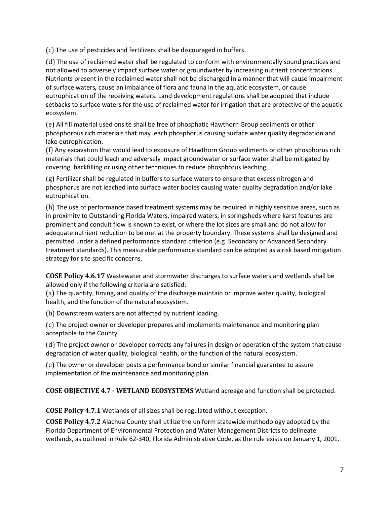(c) The use of pesticides and fertilizers shall be discouraged in buffers.

(d) The use of reclaimed water shall be regulated to conform with environmentally sound practices and not allowed to adversely impact surface water or groundwater by increasing nutrient concentrations. Nutrients present in the reclaimed water shall not be discharged in a manner that will cause impairment of surface waters*,* cause an imbalance of flora and fauna in the aquatic ecosystem, or cause eutrophication of the receiving waters. Land development regulations shall be adopted that include setbacks to surface waters for the use of reclaimed water for irrigation that are protective of the aquatic ecosystem.

(e) All fill material used onsite shall be free of phosphatic Hawthorn Group sediments or other phosphorous rich materials that may leach phosphorus causing surface water quality degradation and lake eutrophication.

(f) Any excavation that would lead to exposure of Hawthorn Group sediments or other phosphorus rich materials that could leach and adversely impact groundwater or surface water shall be mitigated by covering, backfilling or using other techniques to reduce phosphorus leaching.

(g) Fertilizer shall be regulated in buffers to surface waters to ensure that excess nitrogen and phosphorus are not leached into surface water bodies causing water quality degradation and/or lake eutrophication.

(h) The use of performance based treatment systems may be required in highly sensitive areas, such as in proximity to Outstanding Florida Waters, impaired waters, in springsheds where karst features are prominent and conduit flow is known to exist, or where the lot sizes are small and do not allow for adequate nutrient reduction to be met at the property boundary. These systems shall be designed and permitted under a defined performance standard criterion (e.g. Secondary or Advanced Secondary treatment standards). This measurable performance standard can be adopted as a risk based mitigation strategy for site specific concerns.

**COSE Policy 4.6.17** Wastewater and stormwater discharges to surface waters and wetlands shall be allowed only if the following criteria are satisfied:

(a) The quantity, timing, and quality of the discharge maintain or improve water quality, biological health, and the function of the natural ecosystem.

(b) Downstream waters are not affected by nutrient loading.

(c) The project owner or developer prepares and implements maintenance and monitoring plan acceptable to the County.

(d) The project owner or developer corrects any failures in design or operation of the system that cause degradation of water quality, biological health, or the function of the natural ecosystem.

(e) The owner or developer posts a performance bond or similar financial guarantee to assure implementation of the maintenance and monitoring plan.

**COSE OBJECTIVE 4.7 - WETLAND ECOSYSTEMS** Wetland acreage and function shall be protected.

**COSE Policy 4.7.1** Wetlands of all sizes shall be regulated without exception.

**COSE Policy 4.7.2** Alachua County shall utilize the uniform statewide methodology adopted by the Florida Department of Environmental Protection and Water Management Districts to delineate wetlands, as outlined in Rule 62-340, Florida Administrative Code, as the rule exists on January 1, 2001.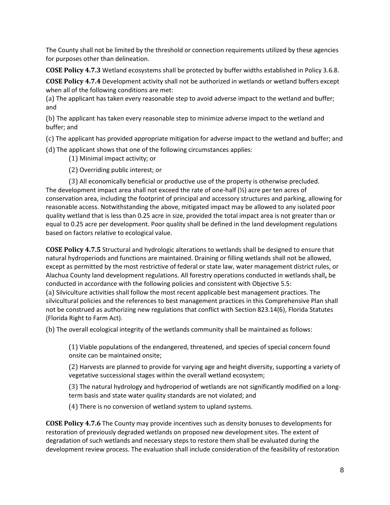The County shall not be limited by the threshold or connection requirements utilized by these agencies for purposes other than delineation.

**COSE Policy 4.7.3** Wetland ecosystems shall be protected by buffer widths established in Policy 3.6.8.

**COSE Policy 4.7.4** Development activity shall not be authorized in wetlands or wetland buffers except when all of the following conditions are met:

(a) The applicant has taken every reasonable step to avoid adverse impact to the wetland and buffer; and

(b) The applicant has taken every reasonable step to minimize adverse impact to the wetland and buffer; and

(c) The applicant has provided appropriate mitigation for adverse impact to the wetland and buffer; and

(d) The applicant shows that one of the following circumstances applies:

(1) Minimal impact activity; or

(2) Overriding public interest; or

(3) All economically beneficial or productive use of the property is otherwise precluded. The development impact area shall not exceed the rate of one-half  $(\frac{1}{2})$  acre per ten acres of conservation area, including the footprint of principal and accessory structures and parking, allowing for reasonable access. Notwithstanding the above, mitigated impact may be allowed to any isolated poor quality wetland that is less than 0.25 acre in size, provided the total impact area is not greater than or equal to 0.25 acre per development. Poor quality shall be defined in the land development regulations based on factors relative to ecological value.

**COSE Policy 4.7.5** Structural and hydrologic alterations to wetlands shall be designed to ensure that natural hydroperiods and functions are maintained. Draining or filling wetlands shall not be allowed, except as permitted by the most restrictive of federal or state law, water management district rules, or Alachua County land development regulations. All forestry operations conducted in wetlands shall**,** be conducted in accordance with the following policies and consistent with Objective 5.5: (a) Silviculture activities shall follow the most recent applicable best management practices. The silvicultural policies and the references to best management practices in this Comprehensive Plan shall not be construed as authorizing new regulations that conflict with Section 823.14(6), Florida Statutes (Florida Right to Farm Act).

(b) The overall ecological integrity of the wetlands community shall be maintained as follows:

(1) Viable populations of the endangered, threatened, and species of special concern found onsite can be maintained onsite;

(2) Harvests are planned to provide for varying age and height diversity, supporting a variety of vegetative successional stages within the overall wetland ecosystem;

(3) The natural hydrology and hydroperiod of wetlands are not significantly modified on a longterm basis and state water quality standards are not violated; and

(4) There is no conversion of wetland system to upland systems.

**COSE Policy 4.7.6** The County may provide incentives such as density bonuses to developments for restoration of previously degraded wetlands on proposed new development sites. The extent of degradation of such wetlands and necessary steps to restore them shall be evaluated during the development review process. The evaluation shall include consideration of the feasibility of restoration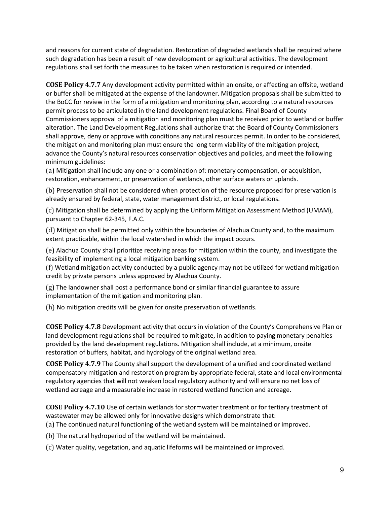and reasons for current state of degradation. Restoration of degraded wetlands shall be required where such degradation has been a result of new development or agricultural activities. The development regulations shall set forth the measures to be taken when restoration is required or intended.

**COSE Policy 4.7.7** Any development activity permitted within an onsite, or affecting an offsite, wetland or buffer shall be mitigated at the expense of the landowner. Mitigation proposals shall be submitted to the BoCC for review in the form of a mitigation and monitoring plan, according to a natural resources permit process to be articulated in the land development regulations. Final Board of County Commissioners approval of a mitigation and monitoring plan must be received prior to wetland or buffer alteration. The Land Development Regulations shall authorize that the Board of County Commissioners shall approve, deny or approve with conditions any natural resources permit. In order to be considered, the mitigation and monitoring plan must ensure the long term viability of the mitigation project, advance the County's natural resources conservation objectives and policies, and meet the following minimum guidelines:

(a) Mitigation shall include any one or a combination of: monetary compensation, or acquisition, restoration, enhancement, or preservation of wetlands, other surface waters or uplands.

(b) Preservation shall not be considered when protection of the resource proposed for preservation is already ensured by federal, state, water management district, or local regulations.

(c) Mitigation shall be determined by applying the Uniform Mitigation Assessment Method (UMAM), pursuant to Chapter 62-345, F.A.C.

(d) Mitigation shall be permitted only within the boundaries of Alachua County and, to the maximum extent practicable, within the local watershed in which the impact occurs.

(e) Alachua County shall prioritize receiving areas for mitigation within the county, and investigate the feasibility of implementing a local mitigation banking system.

(f) Wetland mitigation activity conducted by a public agency may not be utilized for wetland mitigation credit by private persons unless approved by Alachua County.

(g) The landowner shall post a performance bond or similar financial guarantee to assure implementation of the mitigation and monitoring plan.

(h) No mitigation credits will be given for onsite preservation of wetlands.

**COSE Policy 4.7.8** Development activity that occurs in violation of the County's Comprehensive Plan or land development regulations shall be required to mitigate, in addition to paying monetary penalties provided by the land development regulations. Mitigation shall include, at a minimum, onsite restoration of buffers, habitat, and hydrology of the original wetland area.

**COSE Policy 4.7.9** The County shall support the development of a unified and coordinated wetland compensatory mitigation and restoration program by appropriate federal, state and local environmental regulatory agencies that will not weaken local regulatory authority and will ensure no net loss of wetland acreage and a measurable increase in restored wetland function and acreage.

**COSE Policy 4.7.10** Use of certain wetlands for stormwater treatment or for tertiary treatment of wastewater may be allowed only for innovative designs which demonstrate that:

(a) The continued natural functioning of the wetland system will be maintained or improved.

(b) The natural hydroperiod of the wetland will be maintained.

(c) Water quality, vegetation, and aquatic lifeforms will be maintained or improved.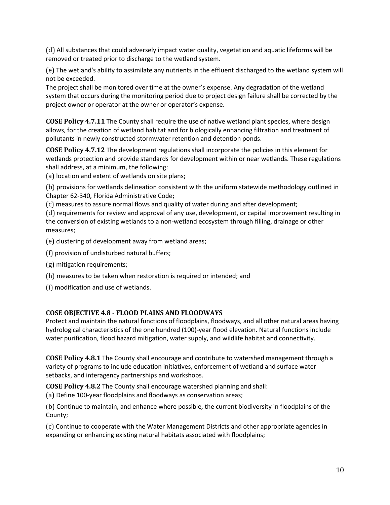(d) All substances that could adversely impact water quality, vegetation and aquatic lifeforms will be removed or treated prior to discharge to the wetland system.

(e) The wetland's ability to assimilate any nutrients in the effluent discharged to the wetland system will not be exceeded.

The project shall be monitored over time at the owner's expense. Any degradation of the wetland system that occurs during the monitoring period due to project design failure shall be corrected by the project owner or operator at the owner or operator's expense.

**COSE Policy 4.7.11** The County shall require the use of native wetland plant species, where design allows, for the creation of wetland habitat and for biologically enhancing filtration and treatment of pollutants in newly constructed stormwater retention and detention ponds.

**COSE Policy 4.7.12** The development regulations shall incorporate the policies in this element for wetlands protection and provide standards for development within or near wetlands. These regulations shall address, at a minimum, the following:

(a) location and extent of wetlands on site plans;

(b) provisions for wetlands delineation consistent with the uniform statewide methodology outlined in Chapter 62-340, Florida Administrative Code;

(c) measures to assure normal flows and quality of water during and after development;

(d) requirements for review and approval of any use, development, or capital improvement resulting in the conversion of existing wetlands to a non-wetland ecosystem through filling, drainage or other measures;

(e) clustering of development away from wetland areas;

- (f) provision of undisturbed natural buffers;
- (g) mitigation requirements;
- (h) measures to be taken when restoration is required or intended; and
- (i) modification and use of wetlands.

#### **COSE OBJECTIVE 4.8 - FLOOD PLAINS AND FLOODWAYS**

Protect and maintain the natural functions of floodplains, floodways, and all other natural areas having hydrological characteristics of the one hundred (100)-year flood elevation. Natural functions include water purification, flood hazard mitigation, water supply, and wildlife habitat and connectivity.

**COSE Policy 4.8.1** The County shall encourage and contribute to watershed management through a variety of programs to include education initiatives, enforcement of wetland and surface water setbacks, and interagency partnerships and workshops.

**COSE Policy 4.8.2** The County shall encourage watershed planning and shall: (a) Define 100-year floodplains and floodways as conservation areas;

(b) Continue to maintain, and enhance where possible, the current biodiversity in floodplains of the County;

(c) Continue to cooperate with the Water Management Districts and other appropriate agencies in expanding or enhancing existing natural habitats associated with floodplains;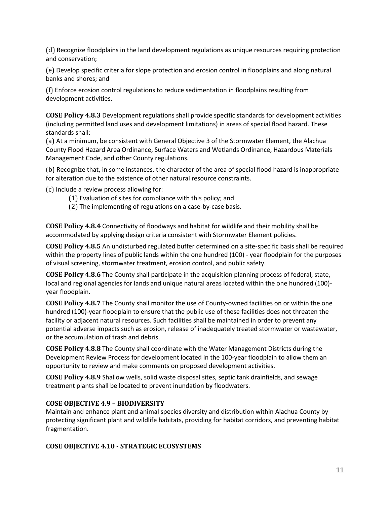(d) Recognize floodplains in the land development regulations as unique resources requiring protection and conservation;

(e) Develop specific criteria for slope protection and erosion control in floodplains and along natural banks and shores; and

(f) Enforce erosion control regulations to reduce sedimentation in floodplains resulting from development activities.

**COSE Policy 4.8.3** Development regulations shall provide specific standards for development activities (including permitted land uses and development limitations) in areas of special flood hazard. These standards shall:

(a) At a minimum, be consistent with General Objective 3 of the Stormwater Element, the Alachua County Flood Hazard Area Ordinance, Surface Waters and Wetlands Ordinance, Hazardous Materials Management Code, and other County regulations.

(b) Recognize that, in some instances, the character of the area of special flood hazard is inappropriate for alteration due to the existence of other natural resource constraints.

(c) Include a review process allowing for:

- (1) Evaluation of sites for compliance with this policy; and
- (2) The implementing of regulations on a case-by-case basis.

**COSE Policy 4.8.4** Connectivity of floodways and habitat for wildlife and their mobility shall be accommodated by applying design criteria consistent with Stormwater Element policies.

**COSE Policy 4.8.5** An undisturbed regulated buffer determined on a site-specific basis shall be required within the property lines of public lands within the one hundred (100) - year floodplain for the purposes of visual screening, stormwater treatment, erosion control, and public safety.

**COSE Policy 4.8.6** The County shall participate in the acquisition planning process of federal, state, local and regional agencies for lands and unique natural areas located within the one hundred (100) year floodplain.

**COSE Policy 4.8.7** The County shall monitor the use of County-owned facilities on or within the one hundred (100)-year floodplain to ensure that the public use of these facilities does not threaten the facility or adjacent natural resources. Such facilities shall be maintained in order to prevent any potential adverse impacts such as erosion, release of inadequately treated stormwater or wastewater, or the accumulation of trash and debris.

**COSE Policy 4.8.8** The County shall coordinate with the Water Management Districts during the Development Review Process for development located in the 100-year floodplain to allow them an opportunity to review and make comments on proposed development activities.

**COSE Policy 4.8.9** Shallow wells, solid waste disposal sites, septic tank drainfields, and sewage treatment plants shall be located to prevent inundation by floodwaters.

#### **COSE OBJECTIVE 4.9 – BIODIVERSITY**

Maintain and enhance plant and animal species diversity and distribution within Alachua County by protecting significant plant and wildlife habitats, providing for habitat corridors, and preventing habitat fragmentation.

#### **COSE OBJECTIVE 4.10 - STRATEGIC ECOSYSTEMS**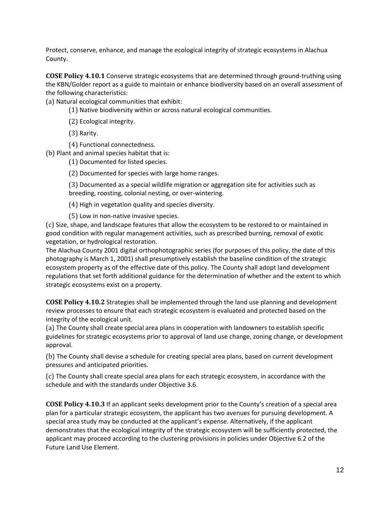Protect, conserve, enhance, and manage the ecological integrity of strategic ecosystems in Alachua County.

**COSE Policy 4.10.1** Conserve strategic ecosystems that are determined through ground-truthing using the KBN/Golder report as a guide to maintain or enhance biodiversity based on an overall assessment of the following characteristics:

(a) Natural ecological communities that exhibit:

(1) Native biodiversity within or across natural ecological communities.

(2) Ecological integrity.

(3) Rarity.

(4) Functional connectedness.

(b) Plant and animal species habitat that is:

(1) Documented for listed species.

(2) Documented for species with large home ranges.

(3) Documented as a special wildlife migration or aggregation site for activities such as breeding, roosting, colonial nesting, or over-wintering.

(4) High in vegetation quality and species diversity.

(5) Low in non-native invasive species.

(c) Size, shape, and landscape features that allow the ecosystem to be restored to or maintained in good condition with regular management activities, such as prescribed burning, removal of exotic vegetation, or hydrological restoration.

The Alachua County 2001 digital orthophotographic series (for purposes of this policy, the date of this photography is March 1, 2001) shall presumptively establish the baseline condition of the strategic ecosystem property as of the effective date of this policy. The County shall adopt land development regulations that set forth additional guidance for the determination of whether and the extent to which strategic ecosystems exist on a property.

**COSE Policy 4.10.2** Strategies shall be implemented through the land use planning and development review processes to ensure that each strategic ecosystem is evaluated and protected based on the integrity of the ecological unit.

(a) The County shall create special area plans in cooperation with landowners to establish specific guidelines for strategic ecosystems prior to approval of land use change, zoning change, or development approval.

(b) The County shall devise a schedule for creating special area plans, based on current development pressures and anticipated priorities.

(c) The County shall create special area plans for each strategic ecosystem, in accordance with the schedule and with the standards under Objective 3.6.

**COSE Policy 4.10.3** If an applicant seeks development prior to the County's creation of a special area plan for a particular strategic ecosystem, the applicant has two avenues for pursuing development. A special area study may be conducted at the applicant's expense. Alternatively, if the applicant demonstrates that the ecological integrity of the strategic ecosystem will be sufficiently protected, the applicant may proceed according to the clustering provisions in policies under Objective 6.2 of the Future Land Use Element.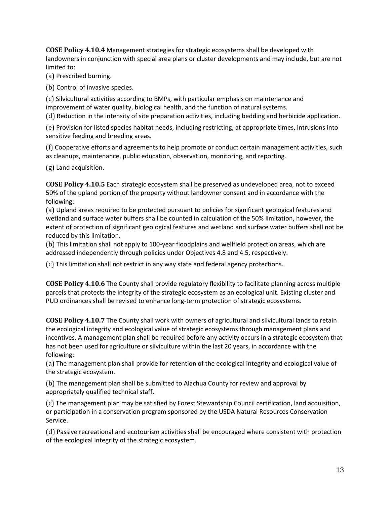**COSE Policy 4.10.4** Management strategies for strategic ecosystems shall be developed with landowners in conjunction with special area plans or cluster developments and may include, but are not limited to:

(a) Prescribed burning.

(b) Control of invasive species.

(c) Silvicultural activities according to BMPs, with particular emphasis on maintenance and improvement of water quality, biological health, and the function of natural systems. (d) Reduction in the intensity of site preparation activities, including bedding and herbicide application.

(e) Provision for listed species habitat needs, including restricting, at appropriate times, intrusions into sensitive feeding and breeding areas.

(f) Cooperative efforts and agreements to help promote or conduct certain management activities, such as cleanups, maintenance, public education, observation, monitoring, and reporting.

(g) Land acquisition.

**COSE Policy 4.10.5** Each strategic ecosystem shall be preserved as undeveloped area, not to exceed 50% of the upland portion of the property without landowner consent and in accordance with the following:

(a) Upland areas required to be protected pursuant to policies for significant geological features and wetland and surface water buffers shall be counted in calculation of the 50% limitation, however, the extent of protection of significant geological features and wetland and surface water buffers shall not be reduced by this limitation.

(b) This limitation shall not apply to 100-year floodplains and wellfield protection areas, which are addressed independently through policies under Objectives 4.8 and 4.5, respectively.

(c) This limitation shall not restrict in any way state and federal agency protections.

**COSE Policy 4.10.6** The County shall provide regulatory flexibility to facilitate planning across multiple parcels that protects the integrity of the strategic ecosystem as an ecological unit. Existing cluster and PUD ordinances shall be revised to enhance long-term protection of strategic ecosystems.

**COSE Policy 4.10.7** The County shall work with owners of agricultural and silvicultural lands to retain the ecological integrity and ecological value of strategic ecosystems through management plans and incentives. A management plan shall be required before any activity occurs in a strategic ecosystem that has not been used for agriculture or silviculture within the last 20 years, in accordance with the following:

(a) The management plan shall provide for retention of the ecological integrity and ecological value of the strategic ecosystem.

(b) The management plan shall be submitted to Alachua County for review and approval by appropriately qualified technical staff.

(c) The management plan may be satisfied by Forest Stewardship Council certification, land acquisition, or participation in a conservation program sponsored by the USDA Natural Resources Conservation Service.

(d) Passive recreational and ecotourism activities shall be encouraged where consistent with protection of the ecological integrity of the strategic ecosystem.